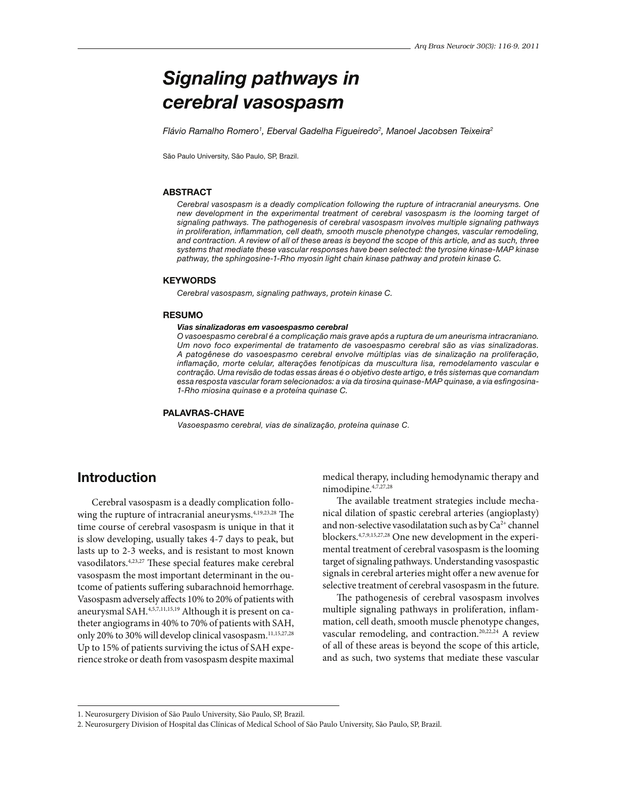# Signaling pathways in cerebral vasospasm

Flávio Ramalho Romero<sup>1</sup>, Eberval Gadelha Figueiredo<sup>2</sup>, Manoel Jacobsen Teixeira<sup>2</sup>

São Paulo University, São Paulo, SP, Brazil.

### **ABSTRACT**

Cerebral vasospasm is a deadly complication following the rupture of intracranial aneurysms. One new development in the experimental treatment of cerebral vasospasm is the looming target of signaling pathways. The pathogenesis of cerebral vasospasm involves multiple signaling pathways in proliferation, inflammation, cell death, smooth muscle phenotype changes, vascular remodeling, and contraction. A review of all of these areas is beyond the scope of this article, and as such, three systems that mediate these vascular responses have been selected: the tyrosine kinase-MAP kinase pathway, the sphingosine-1-Rho myosin light chain kinase pathway and protein kinase C.

#### **KEYWORDS**

Cerebral vasospasm, signaling pathways, protein kinase C.

#### RESUMO

#### Vias sinalizadoras em vasoespasmo cerebral

O vasoespasmo cerebral é a complicação mais grave após a ruptura de um aneurisma intracraniano. Um novo foco experimental de tratamento de vasoespasmo cerebral são as vias sinalizadoras. A patogênese do vasoespasmo cerebral envolve múltiplas vias de sinalização na proliferação, inflamação, morte celular, alterações fenotípicas da muscultura lisa, remodelamento vascular e contração. Uma revisão de todas essas áreas é o objetivo deste artigo, e três sistemas que comandam essa resposta vascular foram selecionados: a via da tirosina quinase-MAP quinase, a via esfingosina-1-Rho miosina quinase e a proteína quinase C.

### PALAVRAS-CHAVE

*Vasoespasmo cerebral, vias de sinalização, proteína quinase C.* 

### Introduction

Cerebral vasospasm is a deadly complication following the rupture of intracranial aneurysms.<sup>4,19,23,28</sup> The time course of cerebral vasospasm is unique in that it is slow developing, usually takes 4-7 days to peak, but lasts up to 2-3 weeks, and is resistant to most known vasodilators.<sup>4,23,27</sup> These special features make cerebral vasospasm the most important determinant in the outcome of patients suffering subarachnoid hemorrhage. Vasospasm adversely affects 10% to 20% of patients with aneurysmal SAH.4,5,7,11,15,19 Although it is present on catheter angiograms in 40% to 70% of patients with SAH, only 20% to 30% will develop clinical vasospasm.<sup>11,15,27,28</sup> Up to 15% of patients surviving the ictus of SAH experience stroke or death from vasospasm despite maximal medical therapy, including hemodynamic therapy and nimodipine.4,7,27,28

The available treatment strategies include mechanical dilation of spastic cerebral arteries (angioplasty) and non-selective vasodilatation such as by  $Ca^{2+}$  channel blockers.4,7,9,15,27,28 One new development in the experimental treatment of cerebral vasospasm is the looming target of signaling pathways. Understanding vasospastic signals in cerebral arteries might offer a new avenue for selective treatment of cerebral vasospasm in the future.

The pathogenesis of cerebral vasospasm involves multiple signaling pathways in proliferation, inflammation, cell death, smooth muscle phenotype changes, vascular remodeling, and contraction.<sup>20,22,24</sup> A review of all of these areas is beyond the scope of this article, and as such, two systems that mediate these vascular

<sup>1.</sup> Neurosurgery Division of São Paulo University, São Paulo, SP, Brazil.

<sup>2.</sup> Neurosurgery Division of Hospital das Clínicas of Medical School of São Paulo University, São Paulo, SP, Brazil.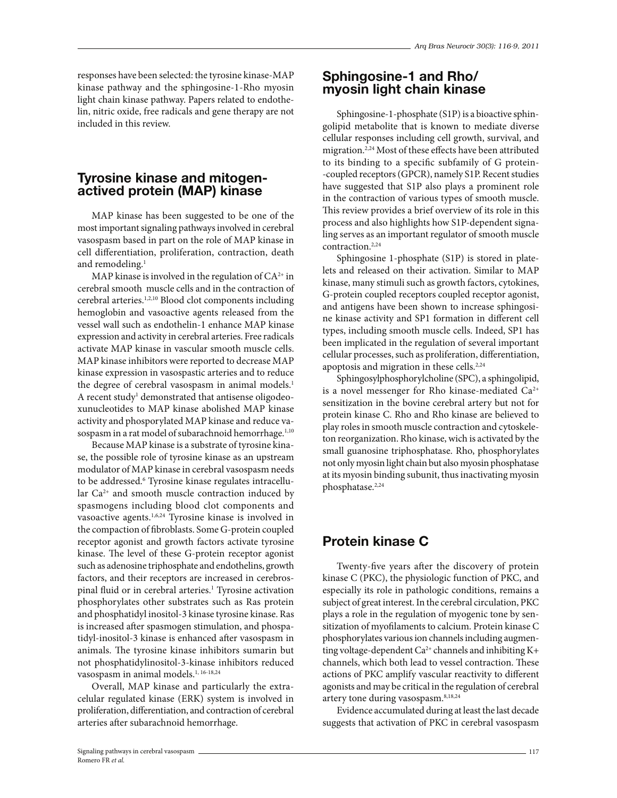responses have been selected: the tyrosine kinase-MAP kinase pathway and the sphingosine-1-Rho myosin light chain kinase pathway. Papers related to endothelin, nitric oxide, free radicals and gene therapy are not included in this review.

### Tyrosine kinase and mitogenactived protein (MAP) kinase

MAP kinase has been suggested to be one of the most important signaling pathways involved in cerebral vasospasm based in part on the role of MAP kinase in cell differentiation, proliferation, contraction, death and remodeling.<sup>1</sup>

MAP kinase is involved in the regulation of  $CA^{2+}$  in cerebral smooth muscle cells and in the contraction of cerebral arteries.1,2,10 Blood clot components including hemoglobin and vasoactive agents released from the vessel wall such as endothelin-1 enhance MAP kinase expression and activity in cerebral arteries. Free radicals activate MAP kinase in vascular smooth muscle cells. MAP kinase inhibitors were reported to decrease MAP kinase expression in vasospastic arteries and to reduce the degree of cerebral vasospasm in animal models.<sup>1</sup> A recent study<sup>1</sup> demonstrated that antisense oligodeoxunucleotides to MAP kinase abolished MAP kinase activity and phosporylated MAP kinase and reduce vasospasm in a rat model of subarachnoid hemorrhage.<sup>1,10</sup>

Because MAP kinase is a substrate of tyrosine kinase, the possible role of tyrosine kinase as an upstream modulator of MAP kinase in cerebral vasospasm needs to be addressed.<sup>6</sup> Tyrosine kinase regulates intracellular Ca<sup>2+</sup> and smooth muscle contraction induced by spasmogens including blood clot components and vasoactive agents.1,6,24 Tyrosine kinase is involved in the compaction of fibroblasts. Some G-protein coupled receptor agonist and growth factors activate tyrosine kinase. The level of these G-protein receptor agonist such as adenosine triphosphate and endothelins, growth factors, and their receptors are increased in cerebrospinal fluid or in cerebral arteries.<sup>1</sup> Tyrosine activation phosphorylates other substrates such as Ras protein and phosphatidyl inositol-3 kinase tyrosine kinase. Ras is increased after spasmogen stimulation, and phospatidyl-inositol-3 kinase is enhanced after vasospasm in animals. The tyrosine kinase inhibitors sumarin but not phosphatidylinositol-3-kinase inhibitors reduced vasospasm in animal models.<sup>1, 16-18,24</sup>

Overall, MAP kinase and particularly the extracelular regulated kinase (ERK) system is involved in proliferation, differentiation, and contraction of cerebral arteries after subarachnoid hemorrhage.

### Sphingosine-1 and Rho/ myosin light chain kinase

Sphingosine-1-phosphate (S1P) is a bioactive sphingolipid metabolite that is known to mediate diverse cellular responses including cell growth, survival, and migration.<sup>2,24</sup> Most of these effects have been attributed to its binding to a specific subfamily of G protein--coupled receptors (GPCR), namely S1P. Recent studies have suggested that S1P also plays a prominent role in the contraction of various types of smooth muscle. This review provides a brief overview of its role in this process and also highlights how S1P-dependent signaling serves as an important regulator of smooth muscle contraction.<sup>2,24</sup>

Sphingosine 1-phosphate (S1P) is stored in platelets and released on their activation. Similar to MAP kinase, many stimuli such as growth factors, cytokines, G-protein coupled receptors coupled receptor agonist, and antigens have been shown to increase sphingosine kinase activity and SP1 formation in different cell types, including smooth muscle cells. Indeed, SP1 has been implicated in the regulation of several important cellular processes, such as proliferation, differentiation, apoptosis and migration in these cells.<sup>2,24</sup>

Sphingosylphosphorylcholine (SPC), a sphingolipid, is a novel messenger for Rho kinase-mediated  $Ca^{2+}$ sensitization in the bovine cerebral artery but not for protein kinase C. Rho and Rho kinase are believed to play roles in smooth muscle contraction and cytoskeleton reorganization. Rho kinase, wich is activated by the small guanosine triphosphatase. Rho, phosphorylates not only myosin light chain but also myosin phosphatase at its myosin binding subunit, thus inactivating myosin phosphatase.<sup>2,24</sup>

# Protein kinase C

Twenty-five years after the discovery of protein kinase C (PKC), the physiologic function of PKC, and especially its role in pathologic conditions, remains a subject of great interest. In the cerebral circulation, PKC plays a role in the regulation of myogenic tone by sensitization of myofilaments to calcium. Protein kinase C phosphorylates various ion channels including augmenting voltage-dependent  $Ca^{2+}$  channels and inhibiting K+ channels, which both lead to vessel contraction. These actions of PKC amplify vascular reactivity to different agonists and may be critical in the regulation of cerebral artery tone during vasospasm.<sup>8,18,24</sup>

Evidence accumulated during at least the last decade suggests that activation of PKC in cerebral vasospasm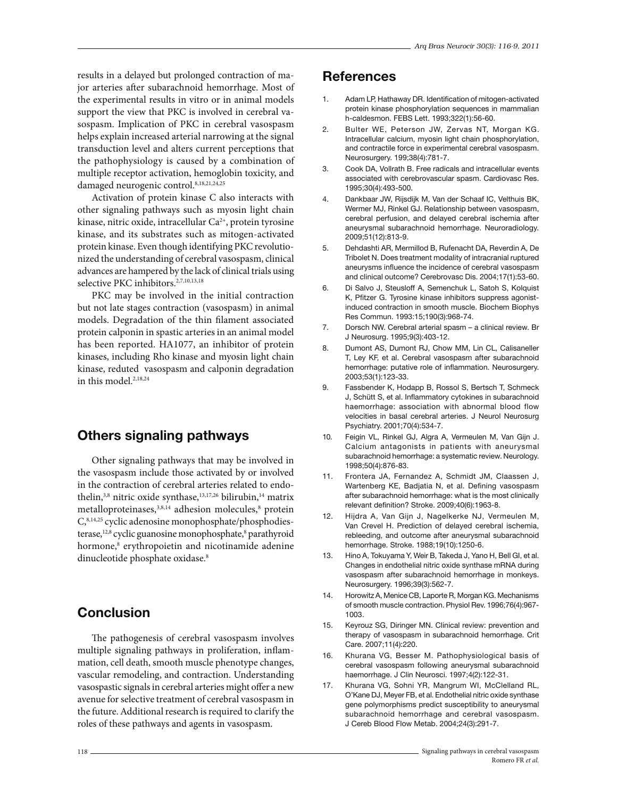results in a delayed but prolonged contraction of major arteries after subarachnoid hemorrhage. Most of the experimental results in vitro or in animal models support the view that PKC is involved in cerebral vasospasm. Implication of PKC in cerebral vasospasm helps explain increased arterial narrowing at the signal transduction level and alters current perceptions that the pathophysiology is caused by a combination of multiple receptor activation, hemoglobin toxicity, and damaged neurogenic control.8,18,21,24,25

Activation of protein kinase C also interacts with other signaling pathways such as myosin light chain kinase, nitric oxide, intracellular Ca<sup>2+</sup>, protein tyrosine kinase, and its substrates such as mitogen-activated protein kinase. Even though identifying PKC revolutionized the understanding of cerebral vasospasm, clinical advances are hampered by the lack of clinical trials using selective PKC inhibitors.<sup>2,7,10,13,18</sup>

PKC may be involved in the initial contraction but not late stages contraction (vasospasm) in animal models. Degradation of the thin filament associated protein calponin in spastic arteries in an animal model has been reported. HA1077, an inhibitor of protein kinases, including Rho kinase and myosin light chain kinase, reduted vasospasm and calponin degradation in this model.2,18,24

# Others signaling pathways

Other signaling pathways that may be involved in the vasospasm include those activated by or involved in the contraction of cerebral arteries related to endothelin,<sup>3,8</sup> nitric oxide synthase,<sup>13,17,26</sup> bilirubin,<sup>14</sup> matrix metalloproteinases,<sup>3,8,14</sup> adhesion molecules,<sup>8</sup> protein C,8,14,25 cyclic adenosine monophosphate/phosphodiesterase,<sup>12,8</sup> cyclic guanosine monophosphate,<sup>8</sup> parathyroid hormone,<sup>8</sup> erythropoietin and nicotinamide adenine dinucleotide phosphate oxidase.<sup>8</sup>

# Conclusion

The pathogenesis of cerebral vasospasm involves multiple signaling pathways in proliferation, inflammation, cell death, smooth muscle phenotype changes, vascular remodeling, and contraction. Understanding vasospastic signals in cerebral arteries might offer a new avenue for selective treatment of cerebral vasospasm in the future. Additional research is required to clarify the roles of these pathways and agents in vasospasm.

# **References**

- 1. Adam LP, Hathaway DR. Identification of mitogen-activated protein kinase phosphorylation sequences in mammalian h-caldesmon. FEBS Lett. 1993;322(1):56-60.
- 2. Bulter WE, Peterson JW, Zervas NT, Morgan KG. Intracellular calcium, myosin light chain phosphorylation, and contractile force in experimental cerebral vasospasm. Neurosurgery. 199;38(4):781-7.
- 3. Cook DA, Vollrath B. Free radicals and intracellular events associated with cerebrovascular spasm. Cardiovasc Res. 1995;30(4):493-500.
- 4. Dankbaar JW, Rijsdijk M, Van der Schaaf IC, Velthuis BK, Wermer MJ, Rinkel GJ. Relationship between vasospasm, cerebral perfusion, and delayed cerebral ischemia after aneurysmal subarachnoid hemorrhage. Neuroradiology. 2009;51(12):813-9.
- 5. Dehdashti AR, Mermillod B, Rufenacht DA, Reverdin A, De Tribolet N. Does treatment modality of intracranial ruptured aneurysms influence the incidence of cerebral vasospasm and clinical outcome? Cerebrovasc Dis. 2004;17(1):53-60.
- 6. Di Salvo J, Steusloff A, Semenchuk L, Satoh S, Kolquist K, Pfitzer G. Tyrosine kinase inhibitors suppress agonistinduced contraction in smooth muscle. Biochem Biophys Res Commun. 1993:15;190(3):968-74.
- 7. Dorsch NW. Cerebral arterial spasm a clinical review. Br J Neurosurg. 1995;9(3):403-12.
- 8. Dumont AS, Dumont RJ, Chow MM, Lin CL, Calisaneller T, Ley KF, et al. Cerebral vasospasm after subarachnoid hemorrhage: putative role of inflammation. Neurosurgery. 2003;53(1):123-33.
- 9. Fassbender K, Hodapp B, Rossol S, Bertsch T, Schmeck J. Schütt S, et al. Inflammatory cytokines in subarachnoid haemorrhage: association with abnormal blood flow velocities in basal cerebral arteries. J Neurol Neurosurg Psychiatry. 2001;70(4):534-7.
- 10. Feigin VL, Rinkel GJ, Algra A, Vermeulen M, Van Gijn J. Calcium antagonists in patients with aneurysmal subarachnoid hemorrhage: a systematic review. Neurology. 1998;50(4):876-83.
- 11. Frontera JA, Fernandez A, Schmidt JM, Claassen J, Wartenberg KE, Badjatia N, et al. Defining vasospasm after subarachnoid hemorrhage: what is the most clinically relevant definition? Stroke. 2009;40(6):1963-8.
- 12. Hijdra A, Van Gijn J, Nagelkerke NJ, Vermeulen M, Van Crevel H. Prediction of delayed cerebral ischemia, rebleeding, and outcome after aneurysmal subarachnoid hemorrhage. Stroke. 1988;19(10):1250-6.
- 13. Hino A, Tokuyama Y, Weir B, Takeda J, Yano H, Bell GI, et al. Changes in endothelial nitric oxide synthase mRNA during vasospasm after subarachnoid hemorrhage in monkeys. Neurosurgery. 1996;39(3):562-7.
- 14. Horowitz A, Menice CB, Laporte R, Morgan KG. Mechanisms of smooth muscle contraction. Physiol Rev. 1996;76(4):967- 1003.
- 15. Keyrouz SG, Diringer MN. Clinical review: prevention and therapy of vasospasm in subarachnoid hemorrhage. Crit Care. 2007;11(4):220.
- 16. Khurana VG, Besser M. Pathophysiological basis of cerebral vasospasm following aneurysmal subarachnoid haemorrhage. J Clin Neurosci. 1997;4(2):122-31.
- 17. Khurana VG, Sohni YR, Mangrum WI, McClelland RL, O'Kane DJ, Meyer FB, et al. Endothelial nitric oxide synthase gene polymorphisms predict susceptibility to aneurysmal subarachnoid hemorrhage and cerebral vasospasm. J Cereb Blood Flow Metab. 2004;24(3):291-7.